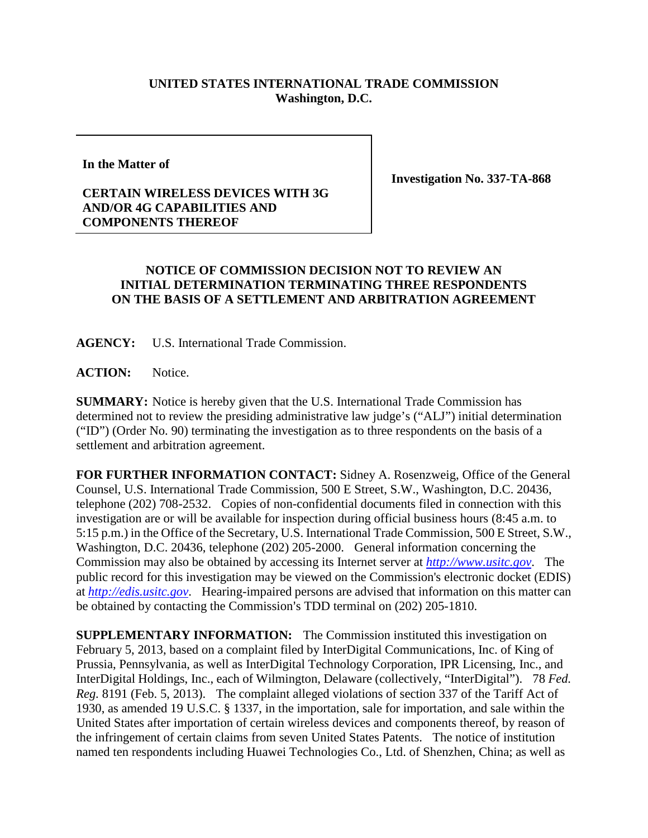## **UNITED STATES INTERNATIONAL TRADE COMMISSION Washington, D.C.**

**In the Matter of**

**Investigation No. 337-TA-868**

## **CERTAIN WIRELESS DEVICES WITH 3G AND/OR 4G CAPABILITIES AND COMPONENTS THEREOF**

## **NOTICE OF COMMISSION DECISION NOT TO REVIEW AN INITIAL DETERMINATION TERMINATING THREE RESPONDENTS ON THE BASIS OF A SETTLEMENT AND ARBITRATION AGREEMENT**

**AGENCY:** U.S. International Trade Commission.

ACTION: Notice.

**SUMMARY:** Notice is hereby given that the U.S. International Trade Commission has determined not to review the presiding administrative law judge's ("ALJ") initial determination ("ID") (Order No. 90) terminating the investigation as to three respondents on the basis of a settlement and arbitration agreement.

**FOR FURTHER INFORMATION CONTACT:** Sidney A. Rosenzweig, Office of the General Counsel, U.S. International Trade Commission, 500 E Street, S.W., Washington, D.C. 20436, telephone (202) 708-2532. Copies of non-confidential documents filed in connection with this investigation are or will be available for inspection during official business hours (8:45 a.m. to 5:15 p.m.) in the Office of the Secretary, U.S. International Trade Commission, 500 E Street, S.W., Washington, D.C. 20436, telephone (202) 205-2000. General information concerning the Commission may also be obtained by accessing its Internet server at *[http://www.usitc.gov](http://www.usitc.gov/)*. The public record for this investigation may be viewed on the Commission's electronic docket (EDIS) at *[http://edis.usitc.gov](http://edis.usitc.gov/)*. Hearing-impaired persons are advised that information on this matter can be obtained by contacting the Commission's TDD terminal on (202) 205-1810.

**SUPPLEMENTARY INFORMATION:** The Commission instituted this investigation on February 5, 2013, based on a complaint filed by InterDigital Communications, Inc. of King of Prussia, Pennsylvania, as well as InterDigital Technology Corporation, IPR Licensing, Inc., and InterDigital Holdings, Inc., each of Wilmington, Delaware (collectively, "InterDigital"). 78 *Fed. Reg.* 8191 (Feb. 5, 2013). The complaint alleged violations of section 337 of the Tariff Act of 1930, as amended 19 U.S.C. § 1337, in the importation, sale for importation, and sale within the United States after importation of certain wireless devices and components thereof, by reason of the infringement of certain claims from seven United States Patents. The notice of institution named ten respondents including Huawei Technologies Co., Ltd. of Shenzhen, China; as well as